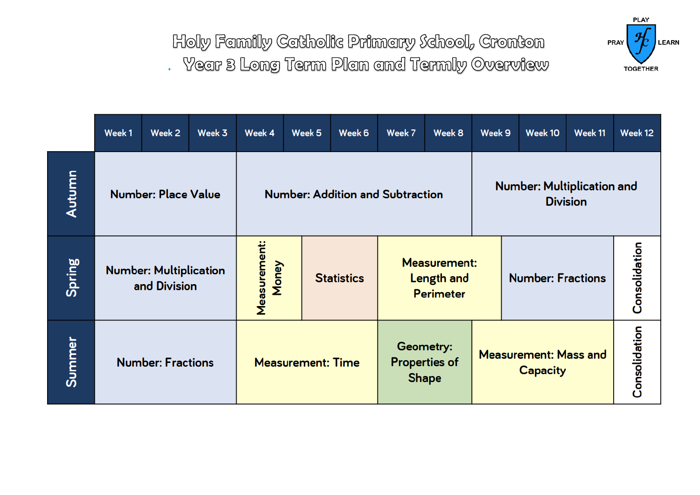Holy Family Catholic Primary School, Cronton . Year 8 Long Term Plan and Termly Overview



|        | Week 1                     | Week 2                                        | Week 3 | Week 4                                  | Week <sub>5</sub> | Week 6            | Week 7                                                       | Week 8                                            | Week 9                                          | Week 10 | Week 11       | Week 12 |
|--------|----------------------------|-----------------------------------------------|--------|-----------------------------------------|-------------------|-------------------|--------------------------------------------------------------|---------------------------------------------------|-------------------------------------------------|---------|---------------|---------|
| Autumn | <b>Number: Place Value</b> |                                               |        | <b>Number: Addition and Subtraction</b> |                   |                   |                                                              | Number: Multiplication and<br><b>Division</b>     |                                                 |         |               |         |
| Spring |                            | <b>Number: Multiplication</b><br>and Division |        | Measurement:<br>Money                   |                   | <b>Statistics</b> | <b>Measurement:</b><br><b>Length and</b><br><b>Perimeter</b> |                                                   | <b>Number: Fractions</b>                        |         | Consolidation |         |
| Summer |                            | <b>Number: Fractions</b>                      |        | <b>Measurement: Time</b>                |                   |                   |                                                              | Geometry:<br><b>Properties of</b><br><b>Shape</b> | <b>Measurement: Mass and</b><br><b>Capacity</b> |         | Consolidation |         |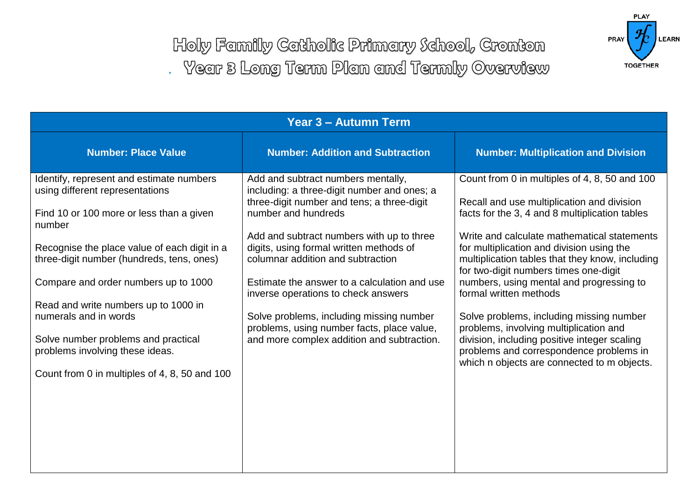

Holy Family Catholic Primary School, Cronton . Year 8 Long Term Plan and Termly Overview

| Year 3 - Autumn Term                                                                                                    |                                                                                                                                                        |                                                                                                                                                                                      |  |  |  |  |
|-------------------------------------------------------------------------------------------------------------------------|--------------------------------------------------------------------------------------------------------------------------------------------------------|--------------------------------------------------------------------------------------------------------------------------------------------------------------------------------------|--|--|--|--|
| <b>Number: Place Value</b>                                                                                              | <b>Number: Addition and Subtraction</b>                                                                                                                | <b>Number: Multiplication and Division</b>                                                                                                                                           |  |  |  |  |
| Identify, represent and estimate numbers<br>using different representations<br>Find 10 or 100 more or less than a given | Add and subtract numbers mentally,<br>including: a three-digit number and ones; a<br>three-digit number and tens; a three-digit<br>number and hundreds | Count from 0 in multiples of 4, 8, 50 and 100<br>Recall and use multiplication and division<br>facts for the 3, 4 and 8 multiplication tables                                        |  |  |  |  |
| number<br>Recognise the place value of each digit in a<br>three-digit number (hundreds, tens, ones)                     | Add and subtract numbers with up to three<br>digits, using formal written methods of<br>columnar addition and subtraction                              | Write and calculate mathematical statements<br>for multiplication and division using the<br>multiplication tables that they know, including<br>for two-digit numbers times one-digit |  |  |  |  |
| Compare and order numbers up to 1000                                                                                    | Estimate the answer to a calculation and use<br>inverse operations to check answers                                                                    | numbers, using mental and progressing to<br>formal written methods                                                                                                                   |  |  |  |  |
| Read and write numbers up to 1000 in<br>numerals and in words                                                           | Solve problems, including missing number<br>problems, using number facts, place value,                                                                 | Solve problems, including missing number<br>problems, involving multiplication and                                                                                                   |  |  |  |  |
| Solve number problems and practical<br>problems involving these ideas.                                                  | and more complex addition and subtraction.                                                                                                             | division, including positive integer scaling<br>problems and correspondence problems in<br>which n objects are connected to m objects.                                               |  |  |  |  |
| Count from 0 in multiples of 4, 8, 50 and 100                                                                           |                                                                                                                                                        |                                                                                                                                                                                      |  |  |  |  |
|                                                                                                                         |                                                                                                                                                        |                                                                                                                                                                                      |  |  |  |  |
|                                                                                                                         |                                                                                                                                                        |                                                                                                                                                                                      |  |  |  |  |
|                                                                                                                         |                                                                                                                                                        |                                                                                                                                                                                      |  |  |  |  |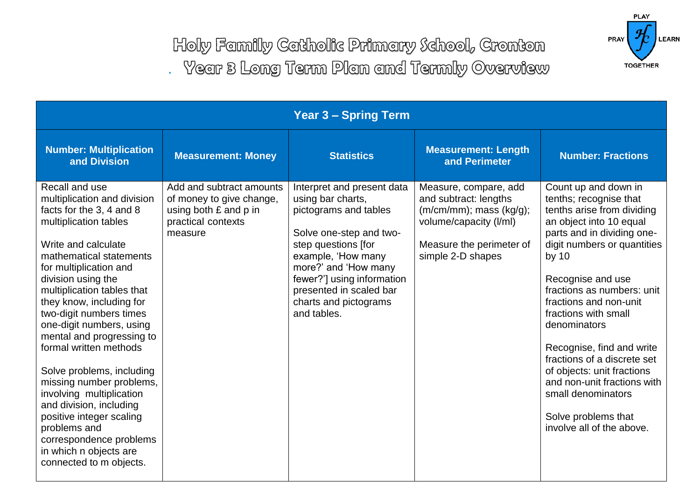

Holy Family Catholic Primary School, Cronton . Year 8 Long Term Plan and Termly Overview

| <b>Year 3 - Spring Term</b>                                                                                                                                                                                                                                                                                                                                                                                                                                                                                                                                                                                              |                                                                                                                |                                                                                                                                                                                                                                                                           |                                                                                                                                                      |                                                                                                                                                                                                                                                                                                                                                                                                                                                                                                         |  |  |
|--------------------------------------------------------------------------------------------------------------------------------------------------------------------------------------------------------------------------------------------------------------------------------------------------------------------------------------------------------------------------------------------------------------------------------------------------------------------------------------------------------------------------------------------------------------------------------------------------------------------------|----------------------------------------------------------------------------------------------------------------|---------------------------------------------------------------------------------------------------------------------------------------------------------------------------------------------------------------------------------------------------------------------------|------------------------------------------------------------------------------------------------------------------------------------------------------|---------------------------------------------------------------------------------------------------------------------------------------------------------------------------------------------------------------------------------------------------------------------------------------------------------------------------------------------------------------------------------------------------------------------------------------------------------------------------------------------------------|--|--|
| <b>Number: Multiplication</b><br>and Division                                                                                                                                                                                                                                                                                                                                                                                                                                                                                                                                                                            | <b>Measurement: Money</b>                                                                                      | <b>Statistics</b>                                                                                                                                                                                                                                                         | <b>Measurement: Length</b><br>and Perimeter                                                                                                          | <b>Number: Fractions</b>                                                                                                                                                                                                                                                                                                                                                                                                                                                                                |  |  |
| Recall and use<br>multiplication and division<br>facts for the 3, 4 and 8<br>multiplication tables<br>Write and calculate<br>mathematical statements<br>for multiplication and<br>division using the<br>multiplication tables that<br>they know, including for<br>two-digit numbers times<br>one-digit numbers, using<br>mental and progressing to<br>formal written methods<br>Solve problems, including<br>missing number problems,<br>involving multiplication<br>and division, including<br>positive integer scaling<br>problems and<br>correspondence problems<br>in which n objects are<br>connected to m objects. | Add and subtract amounts<br>of money to give change,<br>using both £ and p in<br>practical contexts<br>measure | Interpret and present data<br>using bar charts,<br>pictograms and tables<br>Solve one-step and two-<br>step questions [for<br>example, 'How many<br>more?' and 'How many<br>fewer?'] using information<br>presented in scaled bar<br>charts and pictograms<br>and tables. | Measure, compare, add<br>and subtract: lengths<br>(m/cm/mm); mass (kg/g);<br>volume/capacity (I/ml)<br>Measure the perimeter of<br>simple 2-D shapes | Count up and down in<br>tenths; recognise that<br>tenths arise from dividing<br>an object into 10 equal<br>parts and in dividing one-<br>digit numbers or quantities<br>by $10$<br>Recognise and use<br>fractions as numbers: unit<br>fractions and non-unit<br>fractions with small<br>denominators<br>Recognise, find and write<br>fractions of a discrete set<br>of objects: unit fractions<br>and non-unit fractions with<br>small denominators<br>Solve problems that<br>involve all of the above. |  |  |